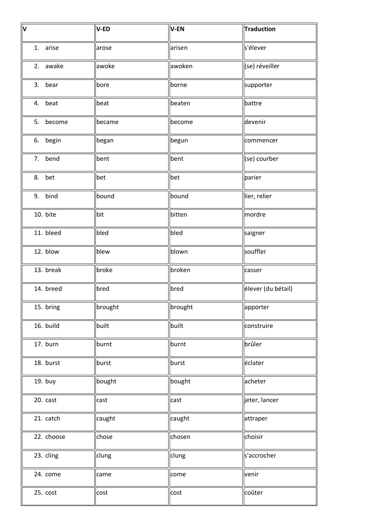| $\overline{\mathsf{v}}$ | V-ED    | V-EN    | Traduction         |
|-------------------------|---------|---------|--------------------|
| 1. arise                | arose   | arisen  | s'élever           |
| 2. awake                | awoke   | awoken  | (se) réveiller     |
| 3. bear                 | bore    | borne   | supporter          |
| 4. beat                 | beat    | beaten  | battre             |
| 5. become               | became  | become  | devenir            |
| 6. begin                | began   | begun   | commencer          |
| 7. bend                 | bent    | bent    | (se) courber       |
| 8. bet                  | bet     | bet     | parier             |
| 9. bind                 | bound   | bound   | lier, relier       |
| 10. bite                | bit     | bitten  | mordre             |
| 11. bleed               | bled    | bled    | saigner            |
| 12. blow                | blew    | blown   | souffler           |
| 13. break               | broke   | broken  | casser             |
| 14. breed               | bred    | bred    | élever (du bétail) |
| 15. bring               | brought | brought | apporter           |
| 16. build               | built   | built   | construire         |
| 17. burn                | burnt   | burnt   | brûler             |
| 18. burst               | burst   | burst   | éclater            |
| 19. buy                 | bought  | bought  | acheter            |
| 20. cast                | cast    | cast    | jeter, lancer      |
| 21. catch               | caught  | caught  | attraper           |
| 22. choose              | chose   | chosen  | choisir            |
| 23. cling               | clung   | clung   | s'accrocher        |
| 24. come                | came    | come    | venir              |
| 25. cost                | cost    | cost    | coûter             |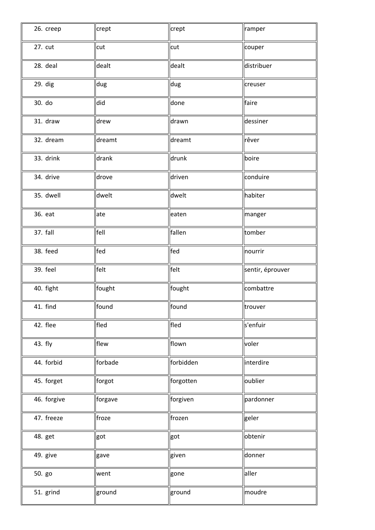| 26. creep   | crept   | crept     | ramper                |
|-------------|---------|-----------|-----------------------|
| 27. cut     | cut     | cut       | couper                |
| 28. deal    | dealt   | dealt     | distribuer            |
| 29. dig     | dug     | dug       | creuser               |
| 30. do      | did     | done      | faire                 |
| 31. draw    | drew    | drawn     | dessiner              |
| 32. dream   | dreamt  | dreamt    | rêver                 |
| 33. drink   | drank   | drunk     | boire                 |
| 34. drive   | drove   | driven    | conduire              |
| 35. dwell   | dwelt   | dwelt     | habiter               |
| 36. eat     | ate     | eaten     | manger                |
| 37. fall    | fell    | fallen    | tomber                |
| 38. feed    | fed     | fed       | nourrir               |
| 39. feel    | felt    | felt      | sentir, éprouver      |
| 40. fight   | fought  | fought    | combattre             |
| 41. find    | found   | found     | $\sqrt{\frac{1}{10}}$ |
| 42. flee    | fled    | fled      | s'enfuir              |
| 43. fly     | flew    | flown     | voler                 |
| 44. forbid  | forbade | forbidden | interdire             |
| 45. forget  | forgot  | forgotten | oublier               |
| 46. forgive | forgave | forgiven  | pardonner             |
| 47. freeze  | froze   | frozen    | geler                 |
| 48. get     | got     | got       | obtenir               |
| 49. give    | gave    | given     | donner                |
|             |         |           |                       |
| 50. go      | went    | gone      | aller                 |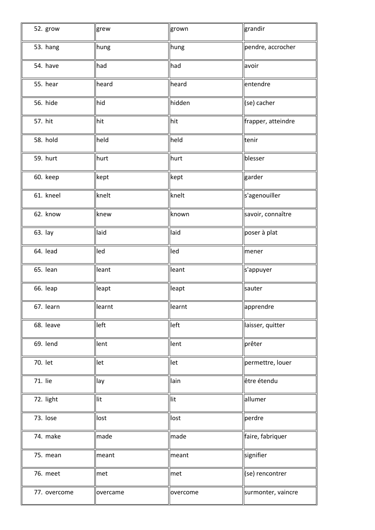| 52. grow     | grew     | grown    | grandir            |
|--------------|----------|----------|--------------------|
| 53. hang     | hung     | hung     | pendre, accrocher  |
| 54. have     | had      | had      | avoir              |
| 55. hear     | heard    | heard    | entendre           |
| 56. hide     | hid      | hidden   | (se) cacher        |
| 57. hit      | hit      | hit      | frapper, atteindre |
| 58. hold     | held     | held     | tenir              |
| 59. hurt     | hurt     | hurt     | blesser            |
| 60. keep     | kept     | kept     | garder             |
| 61. kneel    | knelt    | knelt    | s'agenouiller      |
| 62. know     | knew     | known    | savoir, connaître  |
| 63. lay      | laid     | laid     | poser à plat       |
| 64. lead     | led      | led      | mener              |
| 65. lean     | leant    | leant    | s'appuyer          |
| 66. leap     | leapt    | leapt    | sauter             |
| 67. learn    | learnt   | learnt   | apprendre          |
| 68. leave    | left     | left     | laisser, quitter   |
| 69. lend     | lent     | lent     | prêter             |
| 70. let      | let      | let      | permettre, louer   |
| 71. lie      | lay      | llain    | être étendu        |
| 72. light    | lit      | lit      | allumer            |
| 73. lose     | lost     | lost     | perdre             |
| 74. make     | made     | made     | faire, fabriquer   |
| 75. mean     | meant    | meant    | signifier          |
| 76. meet     | met      | met      | (se) rencontrer    |
| 77. overcome | overcame | overcome | surmonter, vaincre |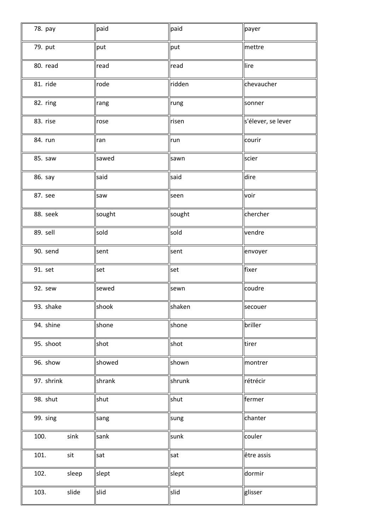| 78. pay       | paid   | paid   | payer              |
|---------------|--------|--------|--------------------|
| 79. put       | put    | put    | mettre             |
| 80. read      | read   | read   | lire               |
| 81. ride      | rode   | ridden | chevaucher         |
| 82. ring      | rang   | rung   | sonner             |
| 83. rise      | rose   | risen  | s'élever, se lever |
| 84. run       | ran    | run    | courir             |
| 85. saw       | sawed  | sawn   | scier              |
| 86. say       | said   | said   | dire               |
| 87. see       | saw    | seen   | voir               |
| 88. seek      | sought | sought | chercher           |
| 89. sell      | sold   | sold   | vendre             |
| 90. send      | sent   | sent   | envoyer            |
| 91. set       | set    | set    | fixer              |
| 92. sew       | sewed  | sewn   | coudre             |
| 93. shake     | shook  | shaken | secouer            |
| 94. shine     | shone  | shone  | briller            |
| 95. shoot     | shot   | shot   | tirer              |
| 96. show      | showed | shown  | montrer            |
| 97. shrink    | shrank | shrunk | rétrécir           |
| 98. shut      | shut   | shut   | fermer             |
| 99. sing      | sang   | sung   | chanter            |
| 100.<br>sink  | sank   | sunk   | couler             |
| 101.<br>sit   | sat    | sat    | être assis         |
| 102.<br>sleep | slept  | slept  | dormir             |
| slide<br>103. | slid   | slid   | glisser            |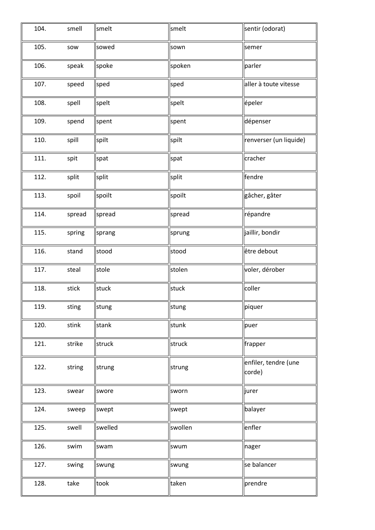| 104. | smell  | smelt   | smelt   | sentir (odorat)                |
|------|--------|---------|---------|--------------------------------|
| 105. | sow    | sowed   | sown    | semer                          |
| 106. | speak  | spoke   | spoken  | parler                         |
| 107. | speed  | sped    | sped    | aller à toute vitesse          |
| 108. | spell  | spelt   | spelt   | épeler                         |
| 109. | spend  | spent   | spent   | dépenser                       |
| 110. | spill  | spilt   | spilt   | renverser (un liquide)         |
| 111. | spit   | spat    | spat    | cracher                        |
| 112. | split  | split   | split   | fendre                         |
| 113. | spoil  | spoilt  | spoilt  | gâcher, gâter                  |
| 114. | spread | spread  | spread  | répandre                       |
| 115. | spring | sprang  | sprung  | jaillir, bondir                |
| 116. | stand  | stood   | stood   | être debout                    |
| 117. | steal  | stole   | stolen  | voler, dérober                 |
| 118. | stick  | stuck   | stuck   | coller                         |
| 119. | sting  | stung   | ∥stung  | piquer                         |
| 120. | stink  | stank   | stunk   | puer                           |
| 121. | strike | struck  | struck  | frapper                        |
| 122. | string | strung  | strung  | enfiler, tendre (une<br>corde) |
| 123. | swear  | swore   | sworn   | jurer                          |
| 124. | sweep  | swept   | swept   | balayer                        |
| 125. | swell  | swelled | swollen | enfler                         |
| 126. | swim   | swam    | swum    | nager                          |
| 127. | swing  | swung   | swung   | se balancer                    |
| 128. | take   | took    | taken   | prendre                        |